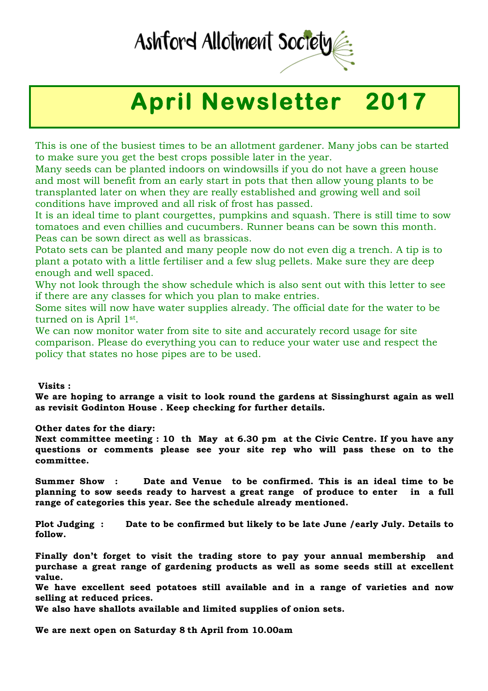## Ashford Allotment Societ

## **April Newsletter 2017**

This is one of the busiest times to be an allotment gardener. Many jobs can be started to make sure you get the best crops possible later in the year.

Many seeds can be planted indoors on windowsills if you do not have a green house and most will benefit from an early start in pots that then allow young plants to be transplanted later on when they are really established and growing well and soil conditions have improved and all risk of frost has passed.

It is an ideal time to plant courgettes, pumpkins and squash. There is still time to sow tomatoes and even chillies and cucumbers. Runner beans can be sown this month. Peas can be sown direct as well as brassicas.

Potato sets can be planted and many people now do not even dig a trench. A tip is to plant a potato with a little fertiliser and a few slug pellets. Make sure they are deep enough and well spaced.

Why not look through the show schedule which is also sent out with this letter to see if there are any classes for which you plan to make entries.

Some sites will now have water supplies already. The official date for the water to be turned on is April 1st.

We can now monitor water from site to site and accurately record usage for site comparison. Please do everything you can to reduce your water use and respect the policy that states no hose pipes are to be used.

**Visits :**

**We are hoping to arrange a visit to look round the gardens at Sissinghurst again as well as revisit Godinton House . Keep checking for further details.**

**Other dates for the diary:**

**Next committee meeting : 10 th May at 6.30 pm at the Civic Centre. If you have any questions or comments please see your site rep who will pass these on to the committee.**

**Summer Show : Date and Venue to be confirmed. This is an ideal time to be planning to sow seeds ready to harvest a great range of produce to enter in a full range of categories this year. See the schedule already mentioned.** 

**Plot Judging : Date to be confirmed but likely to be late June /early July. Details to follow.**

**Finally don't forget to visit the trading store to pay your annual membership and purchase a great range of gardening products as well as some seeds still at excellent value.**

**We have excellent seed potatoes still available and in a range of varieties and now selling at reduced prices.**

**We also have shallots available and limited supplies of onion sets.**

**We are next open on Saturday 8 th April from 10.00am**